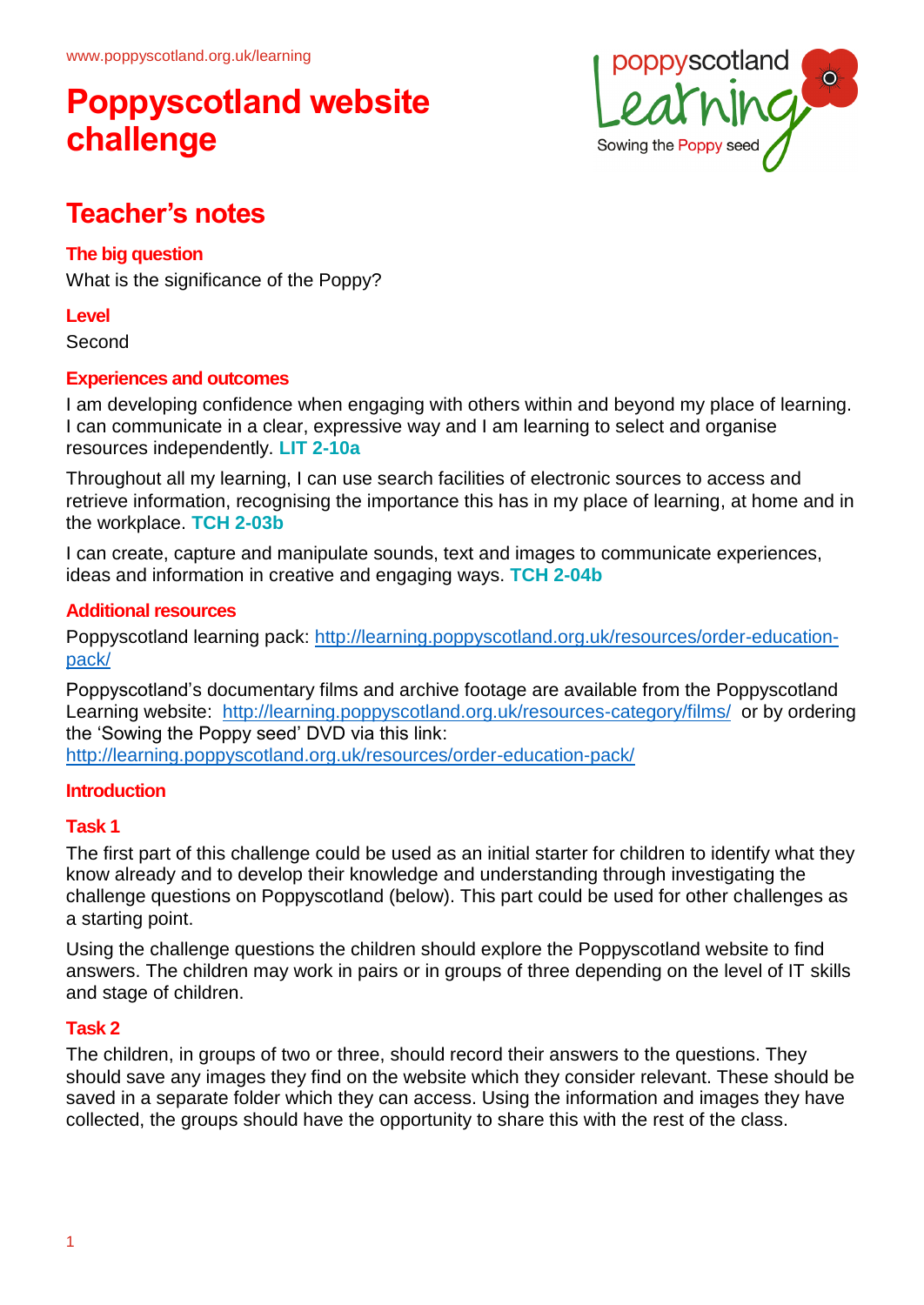

## **Teacher's notes**

#### **The big question**

What is the significance of the Poppy?

#### **Level**

Second

#### **Experiences and outcomes**

I am developing confidence when engaging with others within and beyond my place of learning. I can communicate in a clear, expressive way and I am learning to select and organise resources independently. **LIT 2-10a**

Throughout all my learning, I can use search facilities of electronic sources to access and retrieve information, recognising the importance this has in my place of learning, at home and in the workplace. **TCH 2-03b**

I can create, capture and manipulate sounds, text and images to communicate experiences, ideas and information in creative and engaging ways. **TCH 2-04b**

#### **Additional resources**

Poppyscotland learning pack: [http://learning.poppyscotland.org.uk/resources/order-education](http://learning.poppyscotland.org.uk/resources/order-education-pack/)[pack/](http://learning.poppyscotland.org.uk/resources/order-education-pack/)

Poppyscotland's documentary films and archive footage are available from the Poppyscotland Learning website: <http://learning.poppyscotland.org.uk/resources-category/films/>or by ordering the 'Sowing the Poppy seed' DVD via this link: <http://learning.poppyscotland.org.uk/resources/order-education-pack/>

#### **Introduction**

#### **Task 1**

The first part of this challenge could be used as an initial starter for children to identify what they know already and to develop their knowledge and understanding through investigating the challenge questions on Poppyscotland (below). This part could be used for other challenges as a starting point.

Using the challenge questions the children should explore the Poppyscotland website to find answers. The children may work in pairs or in groups of three depending on the level of IT skills and stage of children.

#### **Task 2**

The children, in groups of two or three, should record their answers to the questions. They should save any images they find on the website which they consider relevant. These should be saved in a separate folder which they can access. Using the information and images they have collected, the groups should have the opportunity to share this with the rest of the class.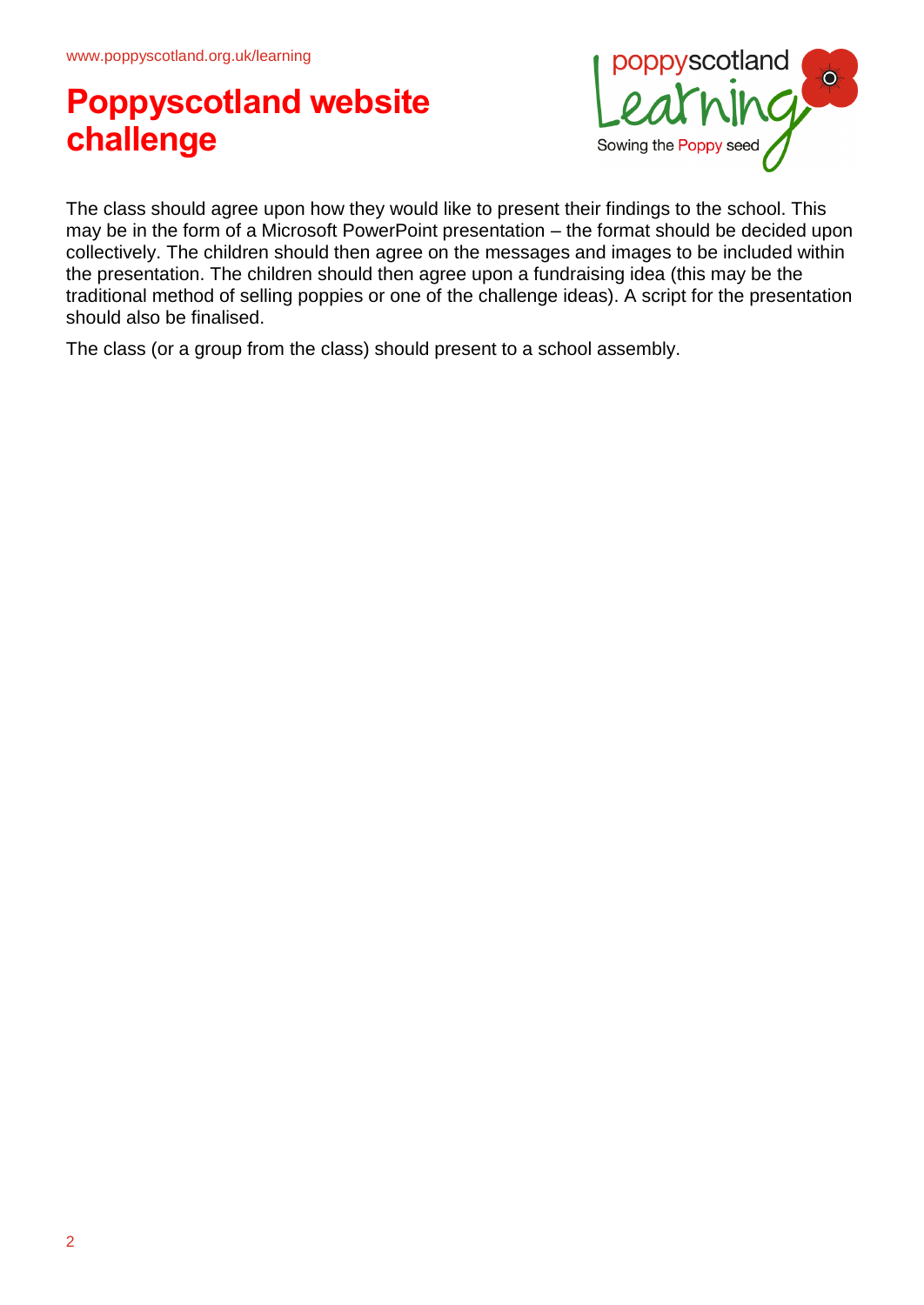

The class should agree upon how they would like to present their findings to the school. This may be in the form of a Microsoft PowerPoint presentation – the format should be decided upon collectively. The children should then agree on the messages and images to be included within the presentation. The children should then agree upon a fundraising idea (this may be the traditional method of selling poppies or one of the challenge ideas). A script for the presentation should also be finalised.

The class (or a group from the class) should present to a school assembly.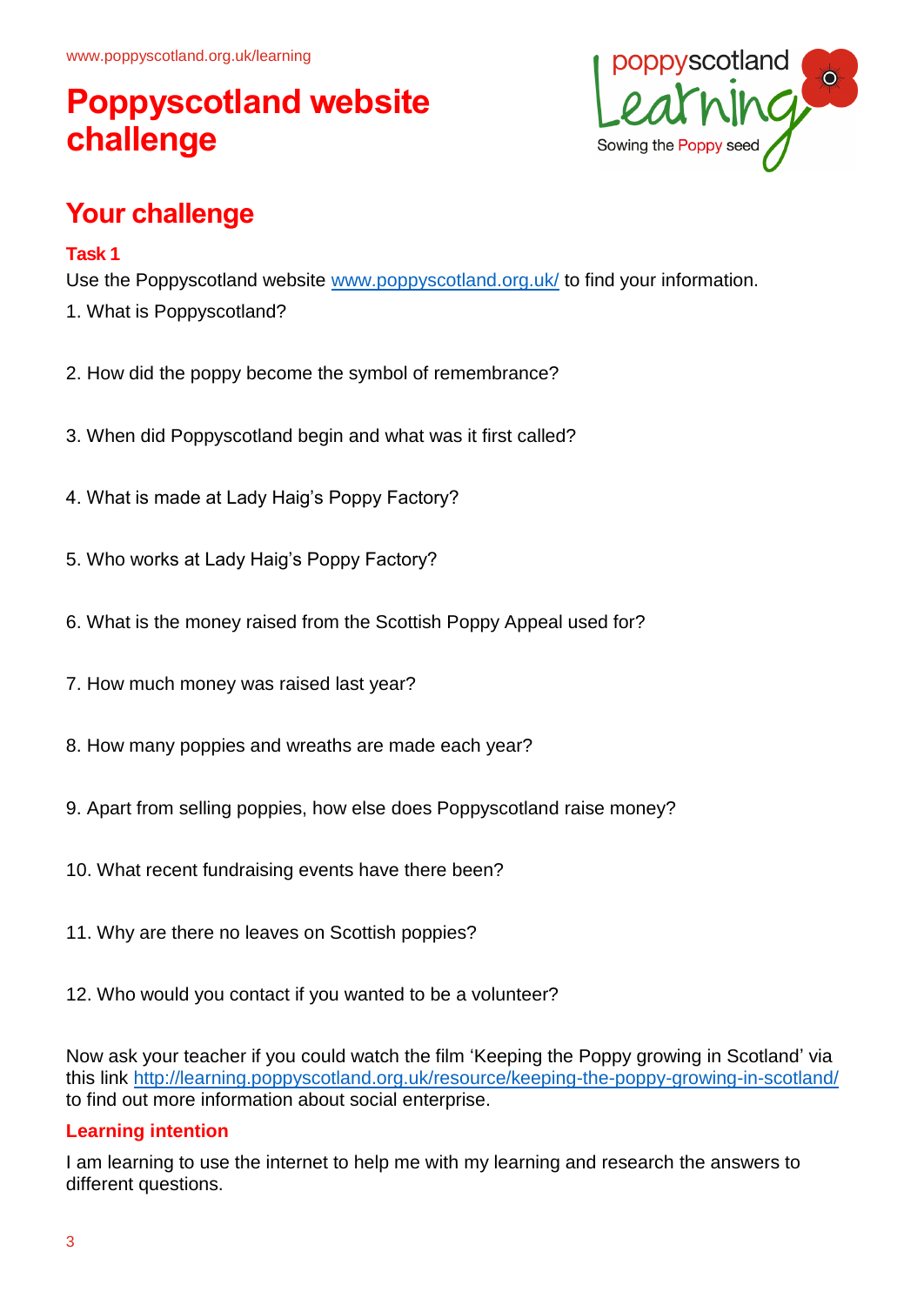

## **Your challenge**

#### **Task 1**

Use the Poppyscotland website [www.poppyscotland.org.uk/](http://www.poppyscotland.org.uk/) to find your information. 1. What is Poppyscotland?

- 2. How did the poppy become the symbol of remembrance?
- 3. When did Poppyscotland begin and what was it first called?
- 4. What is made at Lady Haig's Poppy Factory?
- 5. Who works at Lady Haig's Poppy Factory?
- 6. What is the money raised from the Scottish Poppy Appeal used for?
- 7. How much money was raised last year?
- 8. How many poppies and wreaths are made each year?
- 9. Apart from selling poppies, how else does Poppyscotland raise money?
- 10. What recent fundraising events have there been?
- 11. Why are there no leaves on Scottish poppies?
- 12. Who would you contact if you wanted to be a volunteer?

Now ask your teacher if you could watch the film 'Keeping the Poppy growing in Scotland' via this link<http://learning.poppyscotland.org.uk/resource/keeping-the-poppy-growing-in-scotland/> to find out more information about social enterprise.

#### **Learning intention**

I am learning to use the internet to help me with my learning and research the answers to different questions.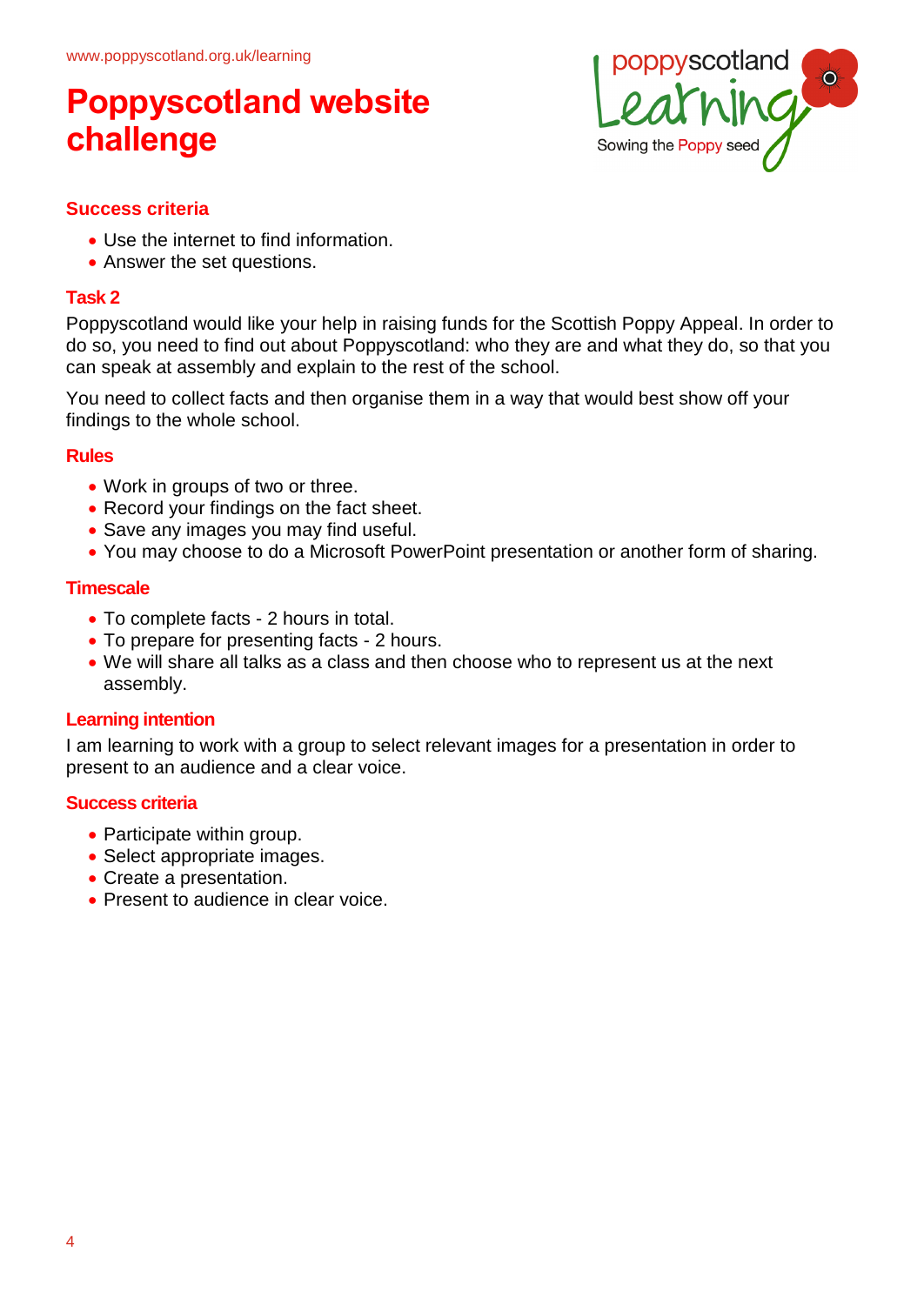

#### **Success criteria**

- Use the internet to find information.
- Answer the set questions.

#### **Task 2**

Poppyscotland would like your help in raising funds for the Scottish Poppy Appeal. In order to do so, you need to find out about Poppyscotland: who they are and what they do, so that you can speak at assembly and explain to the rest of the school.

You need to collect facts and then organise them in a way that would best show off your findings to the whole school.

#### **Rules**

- Work in groups of two or three.
- Record your findings on the fact sheet.
- Save any images you may find useful.
- You may choose to do a Microsoft PowerPoint presentation or another form of sharing.

#### **Timescale**

- To complete facts 2 hours in total.
- To prepare for presenting facts 2 hours.
- We will share all talks as a class and then choose who to represent us at the next assembly.

#### **Learning intention**

I am learning to work with a group to select relevant images for a presentation in order to present to an audience and a clear voice.

#### **Success criteria**

- Participate within group.
- Select appropriate images.
- Create a presentation.
- Present to audience in clear voice.